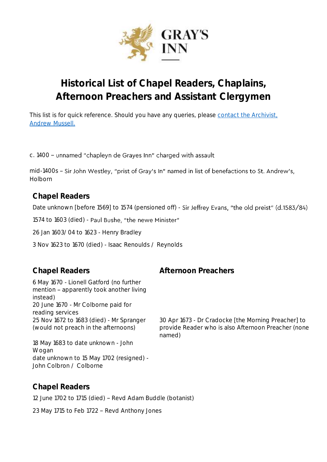

# **Historical List of Chapel Readers, Chaplains, Afternoon Preachers and Assistant Clergymen**

This list is for quick reference. Should you have any queries, please contact the Archivist, [Andrew Mussell.](mailto:andrew.mussell@graysinn.org.uk)

c. 1400 - unnamed "chapleyn de Grayes Inn" charged with assault

mid-1400s - Sir John Westley, "prist of Gray's In" named in list of benefactions to St. Andrew's, Holborn

**Chapel Readers**

Date unknown [before 1569] to 1574 (pensioned off) - Sir Jeffrey Evans, "the old preist" (d.1583/84)

1574 to 1603 (died) - Paul Bushe, "the newe Minister"

26 Jan 1603/04 to 1623 - Henry Bradley

3 Nov 1623 to 1670 (died) - Isaac Renoulds / Reynolds

6 May 1670 - Lionell Gatford (no further mention - apparently took another living instead) 20 June 1670 - Mr Colborne paid for reading services 25 Nov 1672 to 1683 (died) - Mr Spranger (would not preach in the afternoons)

18 May 1683 to date unknown - John Wogan date unknown to 15 May 1702 (resigned) - John Colbron / Colborne

## **Chapel Readers**

12 June 1702 to 1715 (died) - Revd Adam Buddle (botanist)

23 May 1715 to Feb 1722 - Revd Anthony Jones

### **Chapel Readers Afternoon Preachers**

30 Apr 1673 - Dr Cradocke [the Morning Preacher] to provide Reader who is also Afternoon Preacher (none named)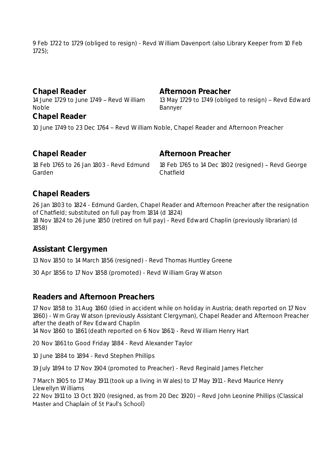9 Feb 1722 to 1729 (obliged to resign) - Revd William Davenport (also Library Keeper from 10 Feb 1725);

**Chapel Reader Afternoon Preacher** 14 June 1729 to June 1749 - Revd William Noble **Chapel Reader**

13 May 1729 to 1749 (obliged to resign) - Revd Edward Bannyer

10 June 1749 to 23 Dec 1764 - Revd William Noble, Chapel Reader and Afternoon Preacher

| Chapel Reader                            | Afternoon Preacher                                  |
|------------------------------------------|-----------------------------------------------------|
| 18 Feb 1765 to 26 Jan 1803 - Revd Edmund | 18 Feb 1765 to 14 Dec 1802 (resigned) - Revd George |
| Garden                                   | Chatfield                                           |

#### **Chapel Readers**

26 Jan 1803 to 1824 - Edmund Garden, Chapel Reader *and* Afternoon Preacher after the resignation of Chatfield; substituted on full pay from 1814 (d 1824) 18 Nov 1824 to 26 June 1850 (retired on full pay) - Revd Edward Chaplin (previously librarian) (d 1858)

### **Assistant Clergymen**

13 Nov 1850 to 14 March 1856 (resigned) - Revd Thomas Huntley Greene

30 Apr 1856 to 17 Nov 1858 (promoted) - Revd William Gray Watson

### **Readers and Afternoon Preachers**

17 Nov 1858 to 31 Aug 1860 (died in accident while on holiday in Austria; death reported on 17 Nov 1860) - Wm Gray Watson (previously Assistant Clergyman), Chapel Reader and Afternoon Preacher after the death of Rev Edward Chaplin

14 Nov 1860 to 1861 (death reported on 6 Nov 1861) - Revd William Henry Hart

20 Nov 1861 to Good Friday 1884 - Revd Alexander Taylor

10 June 1884 to 1894 - Revd Stephen Phillips

19 July 1894 to 17 Nov 1904 (promoted to Preacher) - Revd Reginald James Fletcher

7 March 1905 to 17 May 1911 (took up a living in Wales) to 17 May 1911 - Revd Maurice Henry Llewellyn Williams

22 Nov 1911 to 13 Oct 1920 (resigned, as from 20 Dec 1920) - Revd John Leonine Phillips (Classical Master and Chaplain of St Paul's School)